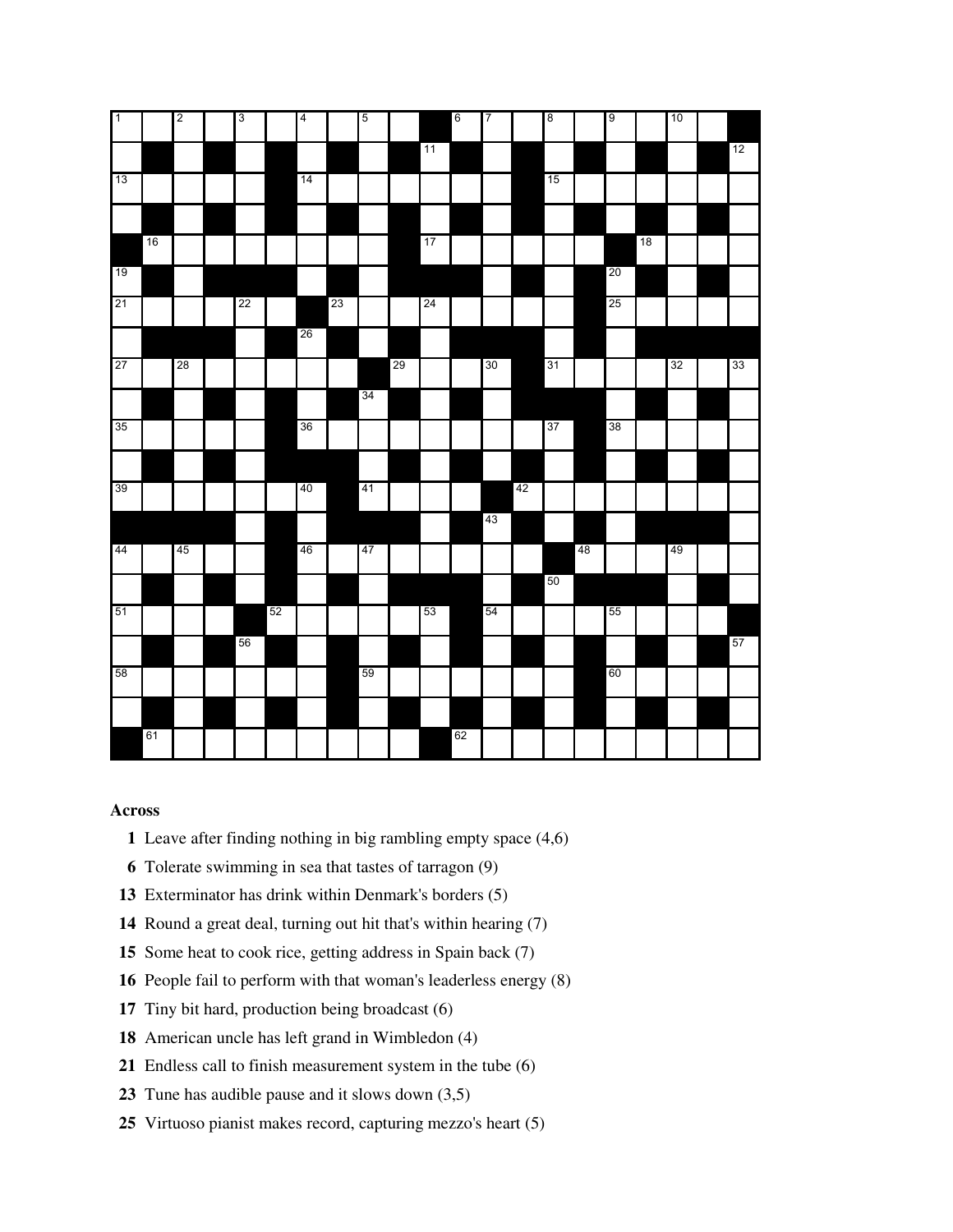| $\sqrt{1}$ |    | $\overline{\mathbf{c}}$ | $\overline{3}$ |    | $\overline{4}$ |    | 5  |    |    | $\boldsymbol{6}$ | 7      |    | $\boldsymbol{8}$ |    | 9  |    | 10 |    |
|------------|----|-------------------------|----------------|----|----------------|----|----|----|----|------------------|--------|----|------------------|----|----|----|----|----|
|            |    |                         |                |    |                |    |    |    | 11 |                  |        |    |                  |    |    |    |    | 12 |
| 13         |    |                         |                |    | 14             |    |    |    |    |                  |        |    | 15               |    |    |    |    |    |
|            |    |                         |                |    |                |    |    |    |    |                  |        |    |                  |    |    |    |    |    |
|            | 16 |                         |                |    |                |    |    |    | 17 |                  |        |    |                  |    |    | 18 |    |    |
| 19         |    |                         |                |    |                |    |    |    |    |                  |        |    |                  |    | 20 |    |    |    |
| 21         |    |                         | 22             |    |                | 23 |    |    | 24 |                  |        |    |                  |    | 25 |    |    |    |
|            |    |                         |                |    | 26             |    |    |    |    |                  |        |    |                  |    |    |    |    |    |
| 27         |    | 28                      |                |    |                |    |    | 29 |    |                  | $30\,$ |    | 31               |    |    |    | 32 | 33 |
|            |    |                         |                |    |                |    | 34 |    |    |                  |        |    |                  |    |    |    |    |    |
| 35         |    |                         |                |    | 36             |    |    |    |    |                  |        |    | 37               |    | 38 |    |    |    |
|            |    |                         |                |    |                |    |    |    |    |                  |        |    |                  |    |    |    |    |    |
| 39         |    |                         |                |    | 40             |    | 41 |    |    |                  |        | 42 |                  |    |    |    |    |    |
|            |    |                         |                |    |                |    |    |    |    |                  | 43     |    |                  |    |    |    |    |    |
| 44         |    | 45                      |                |    | 46             |    | 47 |    |    |                  |        |    |                  | 48 |    |    | 49 |    |
|            |    |                         |                |    |                |    |    |    |    |                  |        |    | 50               |    |    |    |    |    |
| 51         |    |                         |                | 52 |                |    |    |    | 53 |                  | 54     |    |                  |    | 55 |    |    |    |
|            |    |                         | 56             |    |                |    |    |    |    |                  |        |    |                  |    |    |    |    | 57 |
| 58         |    |                         |                |    |                |    | 59 |    |    |                  |        |    |                  |    | 60 |    |    |    |
|            |    |                         |                |    |                |    |    |    |    |                  |        |    |                  |    |    |    |    |    |
|            | 61 |                         |                |    |                |    |    |    |    | 62               |        |    |                  |    |    |    |    |    |
|            |    |                         |                |    |                |    |    |    |    |                  |        |    |                  |    |    |    |    |    |

## **Across**

- Leave after finding nothing in big rambling empty space (4,6)
- Tolerate swimming in sea that tastes of tarragon (9)
- Exterminator has drink within Denmark's borders (5)
- Round a great deal, turning out hit that's within hearing (7)
- Some heat to cook rice, getting address in Spain back (7)
- People fail to perform with that woman's leaderless energy (8)
- Tiny bit hard, production being broadcast (6)
- American uncle has left grand in Wimbledon (4)
- Endless call to finish measurement system in the tube (6)
- Tune has audible pause and it slows down (3,5)
- Virtuoso pianist makes record, capturing mezzo's heart (5)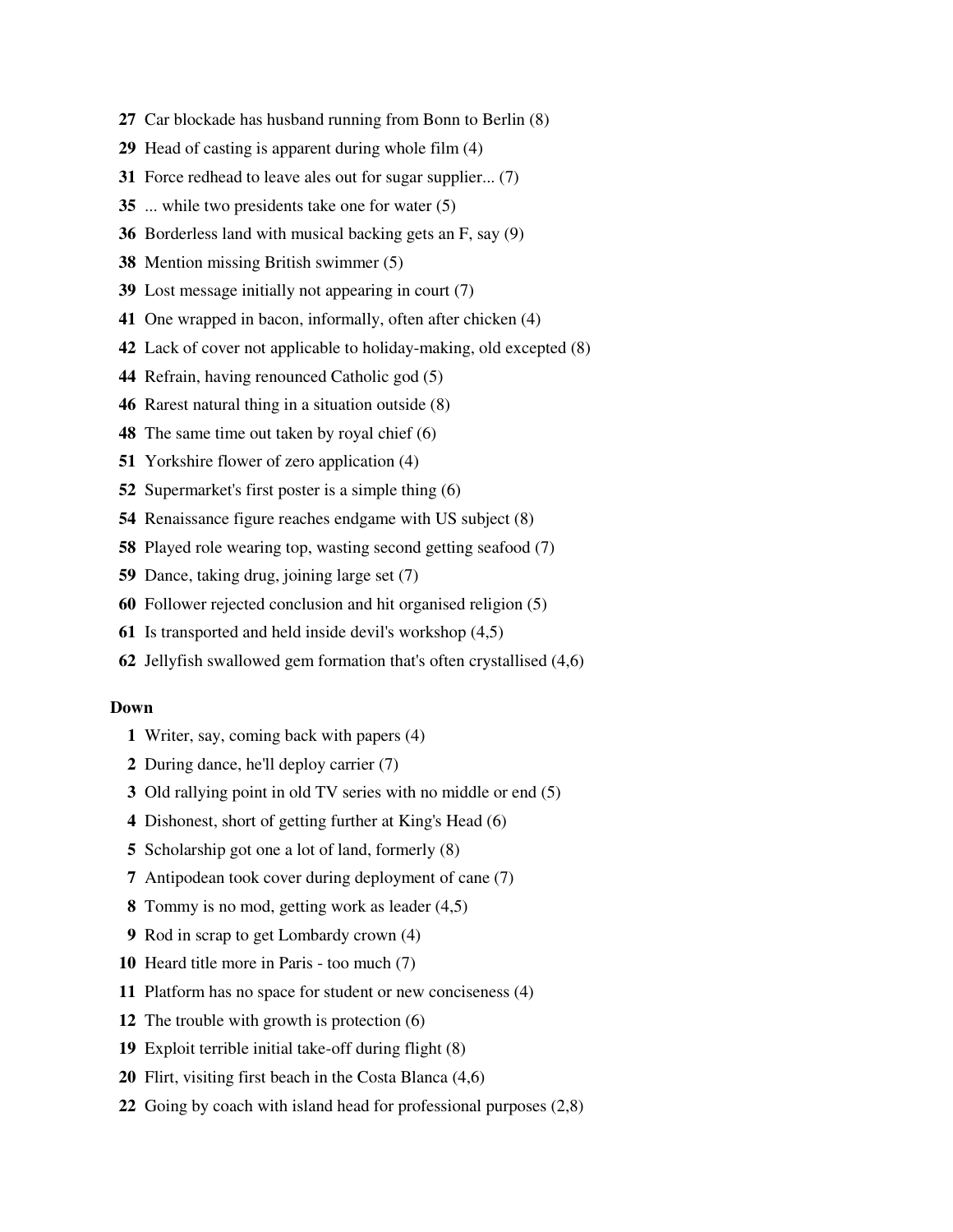- Car blockade has husband running from Bonn to Berlin (8)
- Head of casting is apparent during whole film (4)
- Force redhead to leave ales out for sugar supplier... (7)
- ... while two presidents take one for water (5)
- Borderless land with musical backing gets an F, say (9)
- Mention missing British swimmer (5)
- Lost message initially not appearing in court (7)
- One wrapped in bacon, informally, often after chicken (4)
- Lack of cover not applicable to holiday-making, old excepted (8)
- Refrain, having renounced Catholic god (5)
- Rarest natural thing in a situation outside (8)
- The same time out taken by royal chief (6)
- Yorkshire flower of zero application (4)
- Supermarket's first poster is a simple thing (6)
- Renaissance figure reaches endgame with US subject (8)
- Played role wearing top, wasting second getting seafood (7)
- Dance, taking drug, joining large set (7)
- Follower rejected conclusion and hit organised religion (5)
- Is transported and held inside devil's workshop (4,5)
- Jellyfish swallowed gem formation that's often crystallised (4,6)

## **Down**

- Writer, say, coming back with papers (4)
- During dance, he'll deploy carrier (7)
- Old rallying point in old TV series with no middle or end (5)
- Dishonest, short of getting further at King's Head (6)
- Scholarship got one a lot of land, formerly (8)
- Antipodean took cover during deployment of cane (7)
- Tommy is no mod, getting work as leader (4,5)
- Rod in scrap to get Lombardy crown (4)
- Heard title more in Paris too much (7)
- Platform has no space for student or new conciseness (4)
- The trouble with growth is protection (6)
- Exploit terrible initial take-off during flight (8)
- Flirt, visiting first beach in the Costa Blanca (4,6)
- Going by coach with island head for professional purposes (2,8)